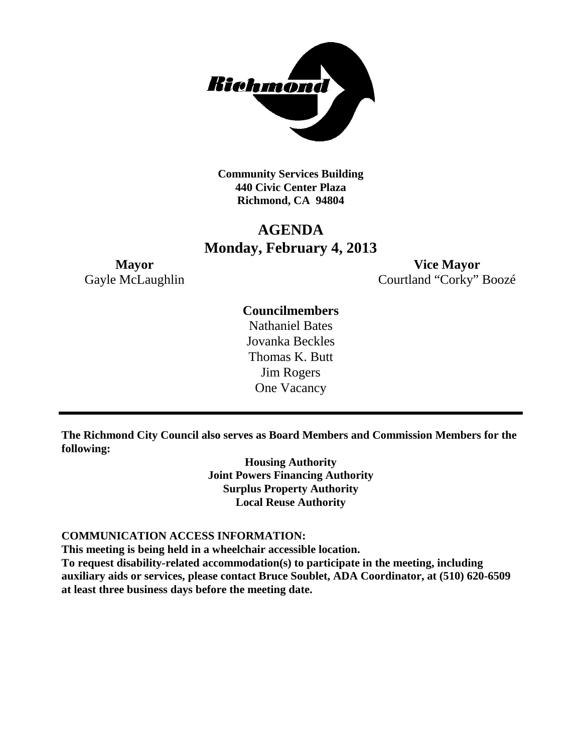

**Community Services Building 440 Civic Center Plaza Richmond, CA 94804**

## **AGENDA Monday, February 4, 2013**

**Mayor Vice Mayor** Gayle McLaughlin Courtland "Corky" Boozé

### **Councilmembers**

Nathaniel Bates Jovanka Beckles Thomas K. Butt Jim Rogers One Vacancy

**The Richmond City Council also serves as Board Members and Commission Members for the following:**

> **Housing Authority Joint Powers Financing Authority Surplus Property Authority Local Reuse Authority**

#### **COMMUNICATION ACCESS INFORMATION:**

**This meeting is being held in a wheelchair accessible location. To request disability-related accommodation(s) to participate in the meeting, including auxiliary aids or services, please contact Bruce Soublet, ADA Coordinator, at (510) 620-6509** 

**at least three business days before the meeting date.**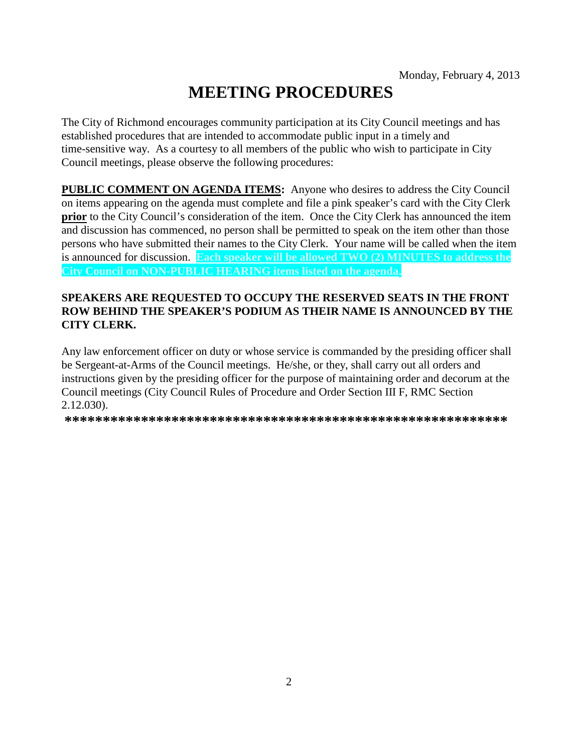# **MEETING PROCEDURES**

The City of Richmond encourages community participation at its City Council meetings and has established procedures that are intended to accommodate public input in a timely and time-sensitive way. As a courtesy to all members of the public who wish to participate in City Council meetings, please observe the following procedures:

**PUBLIC COMMENT ON AGENDA ITEMS:** Anyone who desires to address the City Council on items appearing on the agenda must complete and file a pink speaker's card with the City Clerk **prior** to the City Council's consideration of the item. Once the City Clerk has announced the item and discussion has commenced, no person shall be permitted to speak on the item other than those persons who have submitted their names to the City Clerk. Your name will be called when the item is announced for discussion. **Each speaker will be allowed TWO (2) MINUTES to address the City Council on NON-PUBLIC HEARING items listed on the agenda.**

#### **SPEAKERS ARE REQUESTED TO OCCUPY THE RESERVED SEATS IN THE FRONT ROW BEHIND THE SPEAKER'S PODIUM AS THEIR NAME IS ANNOUNCED BY THE CITY CLERK.**

Any law enforcement officer on duty or whose service is commanded by the presiding officer shall be Sergeant-at-Arms of the Council meetings. He/she, or they, shall carry out all orders and instructions given by the presiding officer for the purpose of maintaining order and decorum at the Council meetings (City Council Rules of Procedure and Order Section III F, RMC Section 2.12.030).

**\*\*\*\*\*\*\*\*\*\*\*\*\*\*\*\*\*\*\*\*\*\*\*\*\*\*\*\*\*\*\*\*\*\*\*\*\*\*\*\*\*\*\*\*\*\*\*\*\*\*\*\*\*\*\*\*\*\***